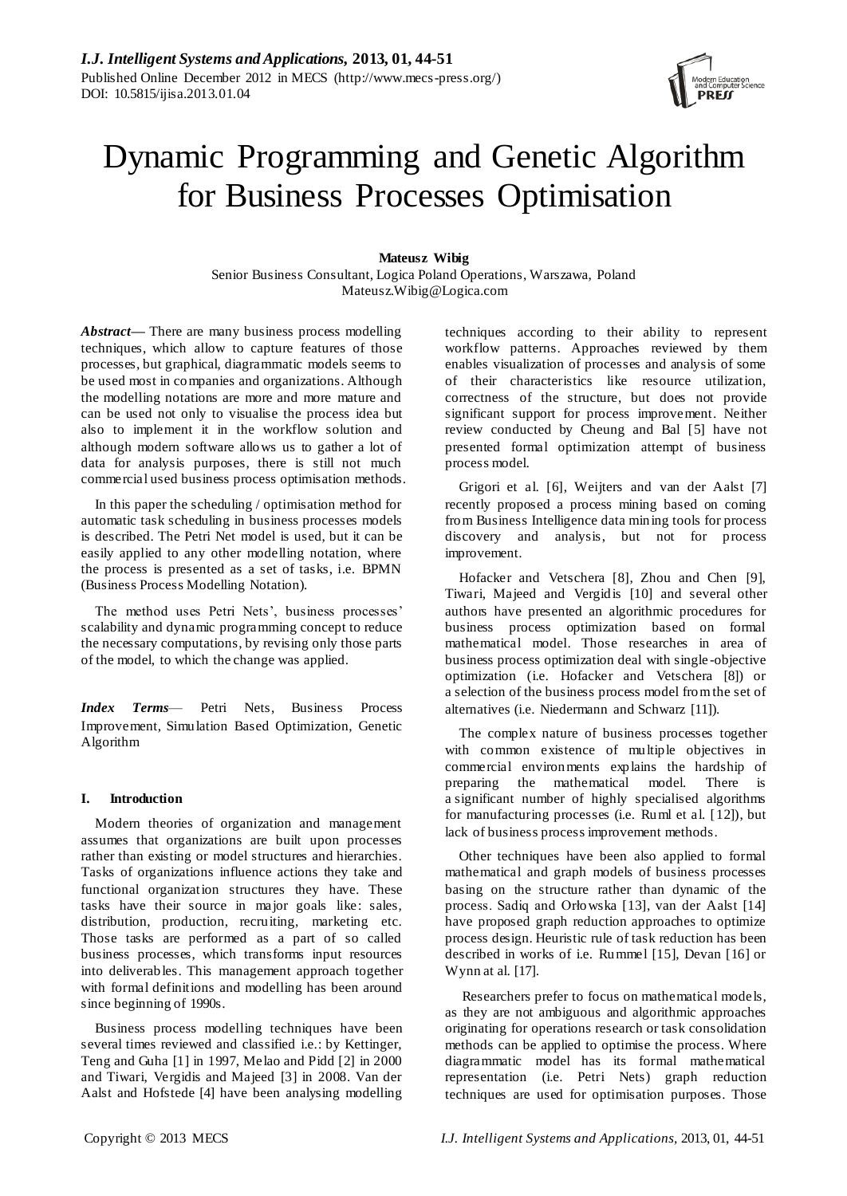# Dynamic Programming and Genetic Algorithm for Business Processes Optimisation

# **Mateusz Wibig**

Senior Business Consultant, Logica Poland Operations, Warszawa, Poland Mateusz.Wibig@Logica.com

*Abstract***—** There are many business process modelling techniques, which allow to capture features of those processes, but graphical, diagrammatic models seems to be used most in companies and organizations. Although the modelling notations are more and more mature and can be used not only to visualise the process idea but also to implement it in the workflow solution and although modern software allows us to gather a lot of data for analysis purposes, there is still not much commercial used business process optimisation methods.

In this paper the scheduling / optimisation method for automatic task scheduling in business processes models is described. The Petri Net model is used, but it can be easily applied to any other modelling notation, where the process is presented as a set of tasks, i.e. BPMN (Business Process Modelling Notation).

The method uses Petri Nets', business processes' scalability and dynamic programming concept to reduce the necessary computations, by revising only those parts of the model, to which the change was applied.

*Index Terms*— Petri Nets, Business Process Improvement, Simulation Based Optimization, Genetic Algorithm

# **I. Introduction**

Modern theories of organization and management assumes that organizations are built upon processes rather than existing or model structures and hierarchies. Tasks of organizations influence actions they take and functional organization structures they have. These tasks have their source in major goals like: sales, distribution, production, recruiting, marketing etc. Those tasks are performed as a part of so called business processes, which transforms input resources into deliverables. This management approach together with formal definitions and modelling has been around since beginning of 1990s.

Business process modelling techniques have been several times reviewed and classified i.e.: by Kettinger, Teng and Guha [1] in 1997, Melao and Pidd [2] in 2000 and Tiwari, Vergidis and Majeed [3] in 2008. Van der Aalst and Hofstede [4] have been analysing modelling

techniques according to their ability to represent workflow patterns. Approaches reviewed by them enables visualization of processes and analysis of some of their characteristics like resource utilization, correctness of the structure, but does not provide significant support for process improvement. Neither review conducted by Cheung and Bal [5] have not presented formal optimization attempt of business process model.

Grigori et al. [6], Weijters and van der Aalst [7] recently proposed a process mining based on coming from Business Intelligence data mining tools for process discovery and analysis, but not for process improvement.

Hofacker and Vetschera [8], Zhou and Chen [9], Tiwari, Majeed and Vergidis [10] and several other authors have presented an algorithmic procedures for business process optimization based on formal mathematical model. Those researches in area of business process optimization deal with single -objective optimization (i.e. Hofacker and Vetschera [8]) or a selection of the business process model from the set of alternatives (i.e. Niedermann and Schwarz [11]).

The complex nature of business processes together with common existence of multiple objectives in commercial environments explains the hardship of preparing the mathematical model. There is a significant number of highly specialised algorithms for manufacturing processes (i.e. Ruml et al. [12]), but lack of business process improvement methods.

Other techniques have been also applied to formal mathematical and graph models of business processes basing on the structure rather than dynamic of the process. Sadiq and Orłowska [13], van der Aalst [14] have proposed graph reduction approaches to optimize process design. Heuristic rule of task reduction has been described in works of i.e. Rummel [15], Devan [16] or Wynn at al. [17].

Researchers prefer to focus on mathematical models, as they are not ambiguous and algorithmic approaches originating for operations research or task consolidation methods can be applied to optimise the process. Where diagrammatic model has its formal mathematical representation (i.e. Petri Nets) graph reduction techniques are used for optimisation purposes. Those

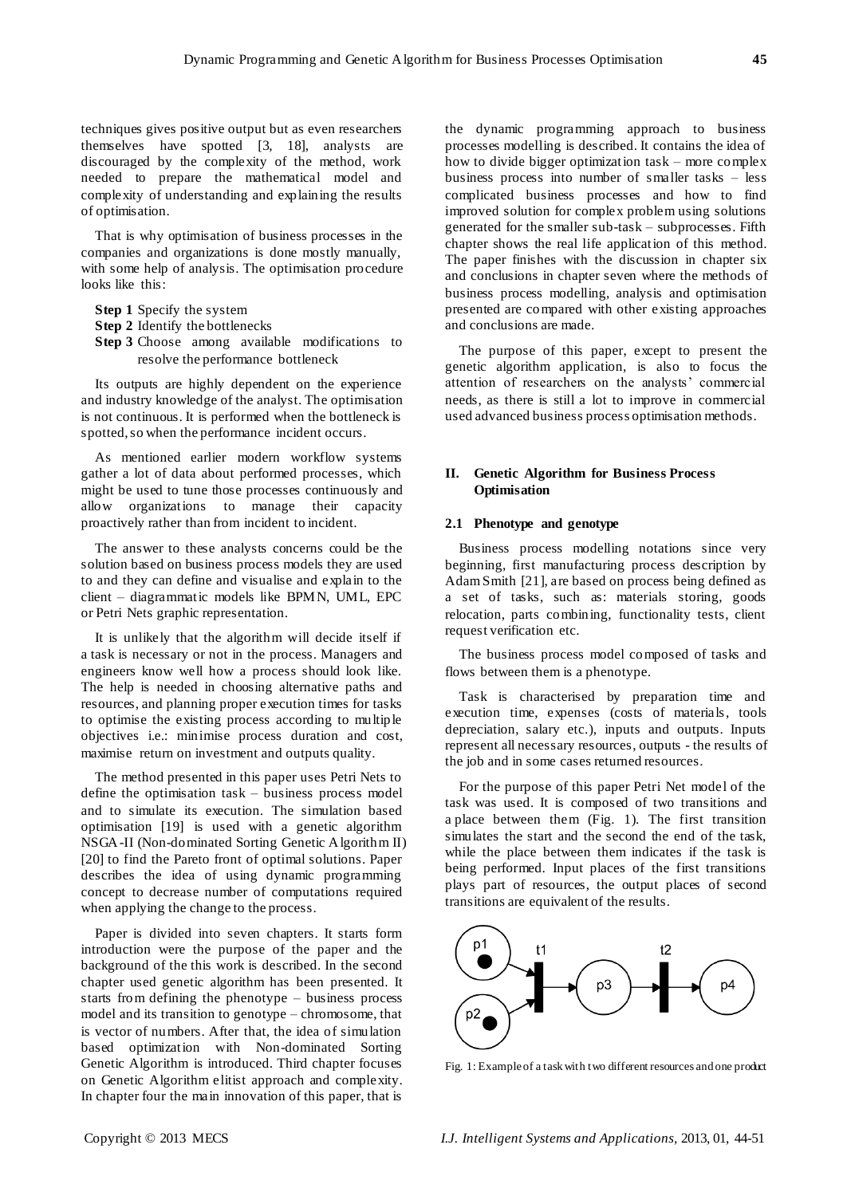techniques gives positive output but as even researchers themselves have spotted [3, 18], analysts are discouraged by the complexity of the method, work needed to prepare the mathematical model and complexity of understanding and explaining the results of optimisation.

That is why optimisation of business processes in the companies and organizations is done mostly manually, with some help of analysis. The optimisation procedure looks like this:

- **Step 1** Specify the system
- **Step 2** Identify the bottlenecks
- **Step 3** Choose among available modifications to resolve the performance bottleneck

Its outputs are highly dependent on the experience and industry knowledge of the analyst. The optimisation is not continuous. It is performed when the bottleneck is spotted, so when the performance incident occurs.

As mentioned earlier modern workflow systems gather a lot of data about performed processes, which might be used to tune those processes continuously and allow organizations to manage their capacity proactively rather than from incident to incident.

The answer to these analysts concerns could be the solution based on business process models they are used to and they can define and visualise and explain to the client – diagrammatic models like BPMN, UML, EPC or Petri Nets graphic representation.

It is unlikely that the algorithm will decide itself if a task is necessary or not in the process. Managers and engineers know well how a process should look like. The help is needed in choosing alternative paths and resources, and planning proper execution times for tasks to optimise the existing process according to multiple objectives i.e.: minimise process duration and cost, maximise return on investment and outputs quality.

The method presented in this paper uses Petri Nets to define the optimisation task – business process model and to simulate its execution. The simulation based optimisation [19] is used with a genetic algorithm NSGA-II (Non-dominated Sorting Genetic Algorithm II) [20] to find the Pareto front of optimal solutions. Paper describes the idea of using dynamic programming concept to decrease number of computations required when applying the change to the process.

Paper is divided into seven chapters. It starts form introduction were the purpose of the paper and the background of the this work is described. In the second chapter used genetic algorithm has been presented. It starts from defining the phenotype – business process model and its transition to genotype – chromosome, that is vector of numbers. After that, the idea of simulation based optimization with Non-dominated Sorting Genetic Algorithm is introduced. Third chapter focuses on Genetic Algorithm elitist approach and complexity. In chapter four the main innovation of this paper, that is

the dynamic programming approach to business processes modelling is described. It contains the idea of how to divide bigger optimization task – more complex business process into number of smaller tasks – less complicated business processes and how to find improved solution for complex problem using solutions generated for the smaller sub-task – subprocesses. Fifth chapter shows the real life application of this method. The paper finishes with the discussion in chapter six and conclusions in chapter seven where the methods of business process modelling, analysis and optimisation presented are compared with other existing approaches and conclusions are made.

The purpose of this paper, except to present the genetic algorithm application, is also to focus the attention of researchers on the analysts' commercial needs, as there is still a lot to improve in commercial used advanced business process optimisation methods.

### **II. Genetic Algorithm for Business Process Optimisation**

#### **2.1 Phenotype and genotype**

Business process modelling notations since very beginning, first manufacturing process description by Adam Smith [21], are based on process being defined as a set of tasks, such as: materials storing, goods relocation, parts combining, functionality tests, client request verification etc.

The business process model composed of tasks and flows between them is a phenotype.

Task is characterised by preparation time and execution time, expenses (costs of materials, tools depreciation, salary etc.), inputs and outputs. Inputs represent all necessary resources, outputs - the results of the job and in some cases returned resources.

For the purpose of this paper Petri Net model of the task was used. It is composed of two transitions and a place between them (Fig. 1). The first transition simulates the start and the second the end of the task, while the place between them indicates if the task is being performed. Input places of the first transitions plays part of resources, the output places of second transitions are equivalent of the results.



Fig. 1: Example of a task with two different resources and one product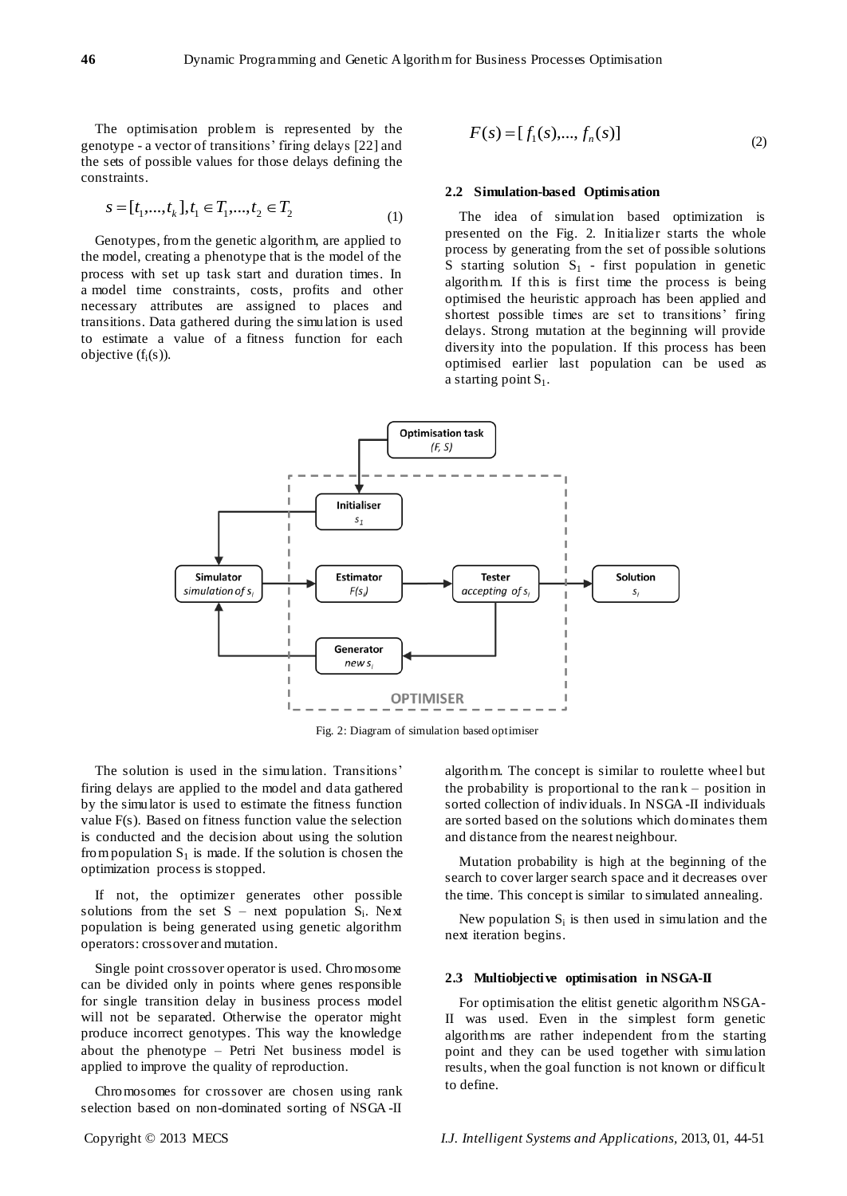The optimisation problem is represented by the genotype - a vector of transitions' firing delays [22] and the sets of possible values for those delays defining the constraints.

$$
s = [t_1, \dots, t_k], t_1 \in T_1, \dots, t_2 \in T_2
$$
\n<sup>(1)</sup>

Genotypes, from the genetic algorithm, are applied to the model, creating a phenotype that is the model of the process with set up task start and duration times. In a model time constraints, costs, profits and other necessary attributes are assigned to places and transitions. Data gathered during the simulation is used to estimate a value of a fitness function for each objective  $(f_i(s))$ .

$$
F(s) = [f_1(s),..., f_n(s)]
$$
\n(2)

#### **2.2 Simulation-based Optimisation**

The idea of simulation based optimization is presented on the Fig. 2. Initializer starts the whole process by generating from the set of possible solutions S starting solution  $S_1$  - first population in genetic algorithm. If this is first time the process is being optimised the heuristic approach has been applied and shortest possible times are set to transitions' firing delays. Strong mutation at the beginning will provide diversity into the population. If this process has been optimised earlier last population can be used as a starting point  $S_1$ .



Fig. 2: Diagram of simulation based optimiser

The solution is used in the simulation. Transitions' firing delays are applied to the model and data gathered by the simulator is used to estimate the fitness function value F(s). Based on fitness function value the selection is conducted and the decision about using the solution from population  $S_1$  is made. If the solution is chosen the optimization process is stopped.

If not, the optimizer generates other possible solutions from the set  $S$  – next population  $S_i$ . Next population is being generated using genetic algorithm operators: crossover and mutation.

Single point crossover operator is used. Chromosome can be divided only in points where genes responsible for single transition delay in business process model will not be separated. Otherwise the operator might produce incorrect genotypes. This way the knowledge about the phenotype – Petri Net business model is applied to improve the quality of reproduction.

Chromosomes for crossover are chosen using rank selection based on non-dominated sorting of NSGA -II algorithm. The concept is similar to roulette wheel but the probability is proportional to the rank – position in sorted collection of individuals. In NSGA -II individuals are sorted based on the solutions which dominates them and distance from the nearest neighbour.

Mutation probability is high at the beginning of the search to cover larger search space and it decreases over the time. This concept is similar to simulated annealing.

New population  $S_i$  is then used in simulation and the next iteration begins.

#### **2.3 Multiobjective optimisation in NSGA-II**

For optimisation the elitist genetic algorithm NSGA-II was used. Even in the simplest form genetic algorithms are rather independent from the starting point and they can be used together with simulation results, when the goal function is not known or difficult to define.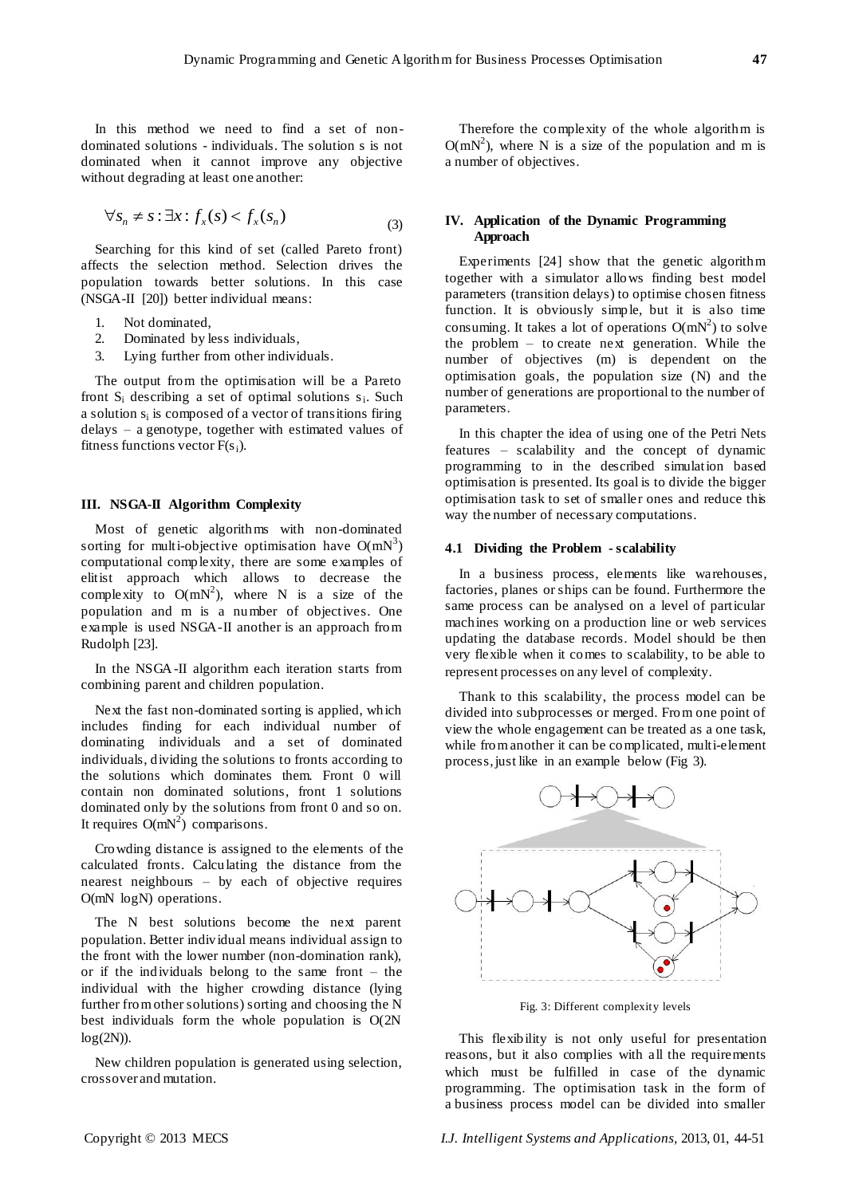In this method we need to find a set of nondominated solutions - individuals. The solution s is not dominated when it cannot improve any objective without degrading at least one another:

$$
\forall s_n \neq s : \exists x : f_x(s) < f_x(s_n) \tag{3}
$$

Searching for this kind of set (called Pareto front) affects the selection method. Selection drives the population towards better solutions. In this case (NSGA-II [20]) better individual means:

- 1. Not dominated,
- 2. Dominated by less individuals,
- 3. Lying further from other individuals.

The output from the optimisation will be a Pareto front  $S_i$  describing a set of optimal solutions  $s_i$ . Such a solution  $s_i$  is composed of a vector of transitions firing delays – a genotype, together with estimated values of fitness functions vector  $F(s_i)$ .

#### **III. NSGA-II Algorithm Complexity**

Most of genetic algorithms with non-dominated sorting for multi-objective optimisation have  $O(mN^3)$ computational complexity, there are some examples of elitist approach which allows to decrease the complexity to  $O(mN^2)$ , where N is a size of the population and m is a number of objectives. One example is used NSGA-II another is an approach from Rudolph [23].

In the NSGA-II algorithm each iteration starts from combining parent and children population.

Next the fast non-dominated sorting is applied, which includes finding for each individual number of dominating individuals and a set of dominated individuals, dividing the solutions to fronts according to the solutions which dominates them. Front 0 will contain non dominated solutions, front 1 solutions dominated only by the solutions from front 0 and so on. It requires  $O(mN^2)$  comparisons.

Crowding distance is assigned to the elements of the calculated fronts. Calculating the distance from the nearest neighbours – by each of objective requires O(mN logN) operations.

The N best solutions become the next parent population. Better individual means individual assign to the front with the lower number (non-domination rank), or if the individuals belong to the same front – the individual with the higher crowding distance (lying further from other solutions) sorting and choosing the N best individuals form the whole population is O(2N  $log(2N)$ ).

New children population is generated using selection, crossover and mutation.

Therefore the complexity of the whole algorithm is  $O(mN^2)$ , where N is a size of the population and m is a number of objectives.

### **IV. Application of the Dynamic Programming Approach**

Experiments [24] show that the genetic algorithm together with a simulator allows finding best model parameters (transition delays) to optimise chosen fitness function. It is obviously simple, but it is also time consuming. It takes a lot of operations  $O(mN^2)$  to solve the problem – to create next generation. While the number of objectives (m) is dependent on the optimisation goals, the population size (N) and the number of generations are proportional to the number of parameters.

In this chapter the idea of using one of the Petri Nets features – scalability and the concept of dynamic programming to in the described simulation based optimisation is presented. Its goal is to divide the bigger optimisation task to set of smaller ones and reduce this way the number of necessary computations.

#### **4.1 Dividing the Problem - scalability**

In a business process, elements like warehouses, factories, planes or ships can be found. Furthermore the same process can be analysed on a level of particular machines working on a production line or web services updating the database records. Model should be then very flexible when it comes to scalability, to be able to represent processes on any level of complexity.

Thank to this scalability, the process model can be divided into subprocesses or merged. From one point of view the whole engagement can be treated as a one task, while from another it can be complicated, multi-element process, just like in an example below (Fig 3).



Fig. 3: Different complexity levels

This flexibility is not only useful for presentation reasons, but it also complies with all the requirements which must be fulfilled in case of the dynamic programming. The optimisation task in the form of a business process model can be divided into smaller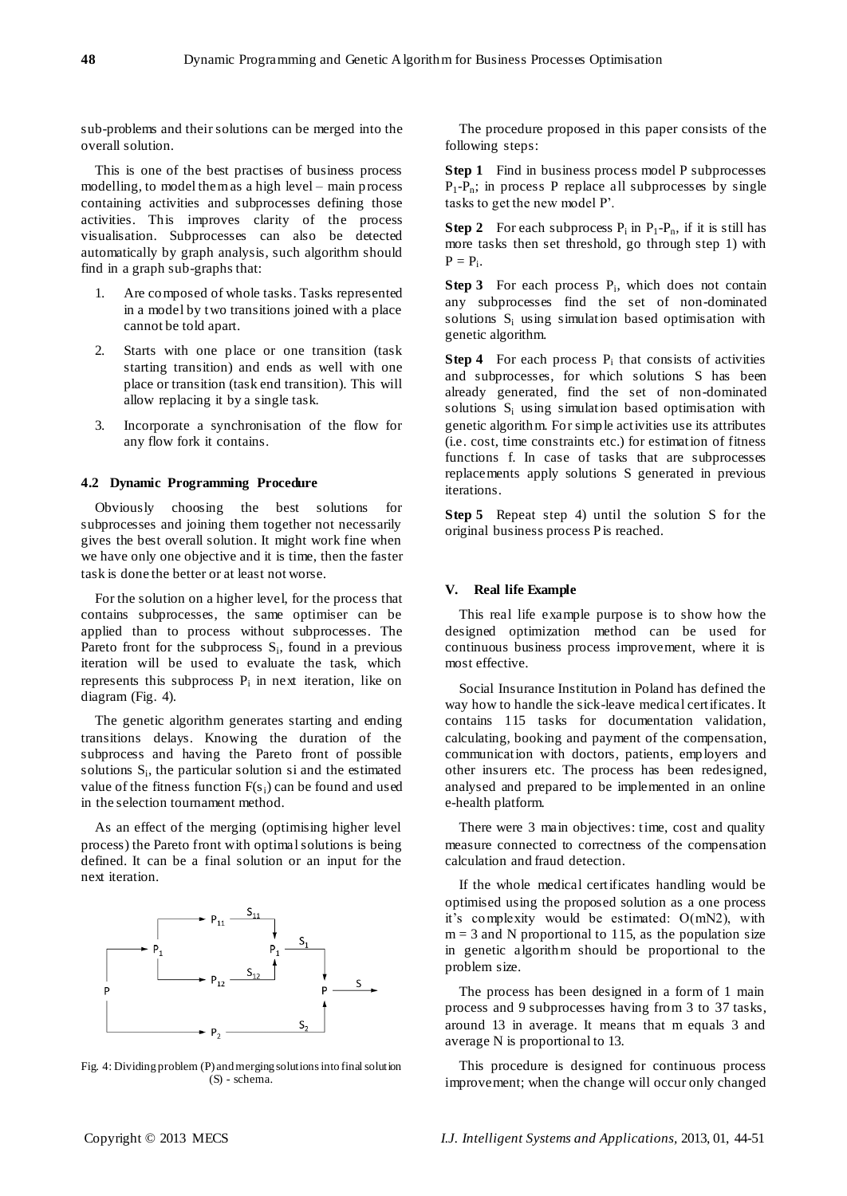sub-problems and their solutions can be merged into the overall solution.

This is one of the best practises of business process modelling, to model them as a high level – main process containing activities and subprocesses defining those activities. This improves clarity of the process visualisation. Subprocesses can also be detected automatically by graph analysis, such algorithm should find in a graph sub-graphs that:

- 1. Are composed of whole tasks. Tasks represented in a model by two transitions joined with a place cannot be told apart.
- 2. Starts with one place or one transition (task starting transition) and ends as well with one place or transition (task end transition). This will allow replacing it by a single task.
- 3. Incorporate a synchronisation of the flow for any flow fork it contains.

# **4.2 Dynamic Programming Procedure**

Obviously choosing the best solutions for subprocesses and joining them together not necessarily gives the best overall solution. It might work fine when we have only one objective and it is time, then the faster task is done the better or at least not worse.

For the solution on a higher level, for the process that contains subprocesses, the same optimiser can be applied than to process without subprocesses. The Pareto front for the subprocess  $S_i$ , found in a previous iteration will be used to evaluate the task, which represents this subprocess  $P_i$  in next iteration, like on diagram (Fig. 4).

The genetic algorithm generates starting and ending transitions delays. Knowing the duration of the subprocess and having the Pareto front of possible solutions  $S_i$ , the particular solution si and the estimated value of the fitness function  $F(s_i)$  can be found and used in the selection tournament method.

As an effect of the merging (optimising higher level process) the Pareto front with optimal solutions is being defined. It can be a final solution or an input for the next iteration.



Fig. 4: Dividing problem (P) and merging solutions into final solution (S) - schema.

The procedure proposed in this paper consists of the following steps:

**Step 1** Find in business process model P subprocesses  $P_1-P_n$ ; in process P replace all subprocesses by single tasks to get the new model P'.

**Step 2** For each subprocess  $P_i$  in  $P_1-P_n$ , if it is still has more tasks then set threshold, go through step 1) with  $P = P_i$ .

**Step 3** For each process  $P_i$ , which does not contain any subprocesses find the set of non-dominated solutions S<sup>i</sup> using simulation based optimisation with genetic algorithm.

**Step 4** For each process  $P_i$  that consists of activities and subprocesses, for which solutions S has been already generated, find the set of non-dominated solutions  $S_i$  using simulation based optimisation with genetic algorithm. For simple activities use its attributes (i.e. cost, time constraints etc.) for estimation of fitness functions f. In case of tasks that are subprocesses replacements apply solutions S generated in previous iterations.

**Step 5** Repeat step 4) until the solution S for the original business process P is reached.

#### **V. Real life Example**

This real life example purpose is to show how the designed optimization method can be used for continuous business process improvement, where it is most effective.

Social Insurance Institution in Poland has defined the way how to handle the sick-leave medical certificates. It contains 115 tasks for documentation validation, calculating, booking and payment of the compensation, communication with doctors, patients, employers and other insurers etc. The process has been redesigned, analysed and prepared to be implemented in an online e-health platform.

There were 3 main objectives: time, cost and quality measure connected to correctness of the compensation calculation and fraud detection.

If the whole medical certificates handling would be optimised using the proposed solution as a one process it's complexity would be estimated: O(mN2), with  $m = 3$  and N proportional to 115, as the population size in genetic algorithm should be proportional to the problem size.

The process has been designed in a form of 1 main process and 9 subprocesses having from 3 to 37 tasks, around 13 in average. It means that m equals 3 and average N is proportional to 13.

This procedure is designed for continuous process improvement; when the change will occur only changed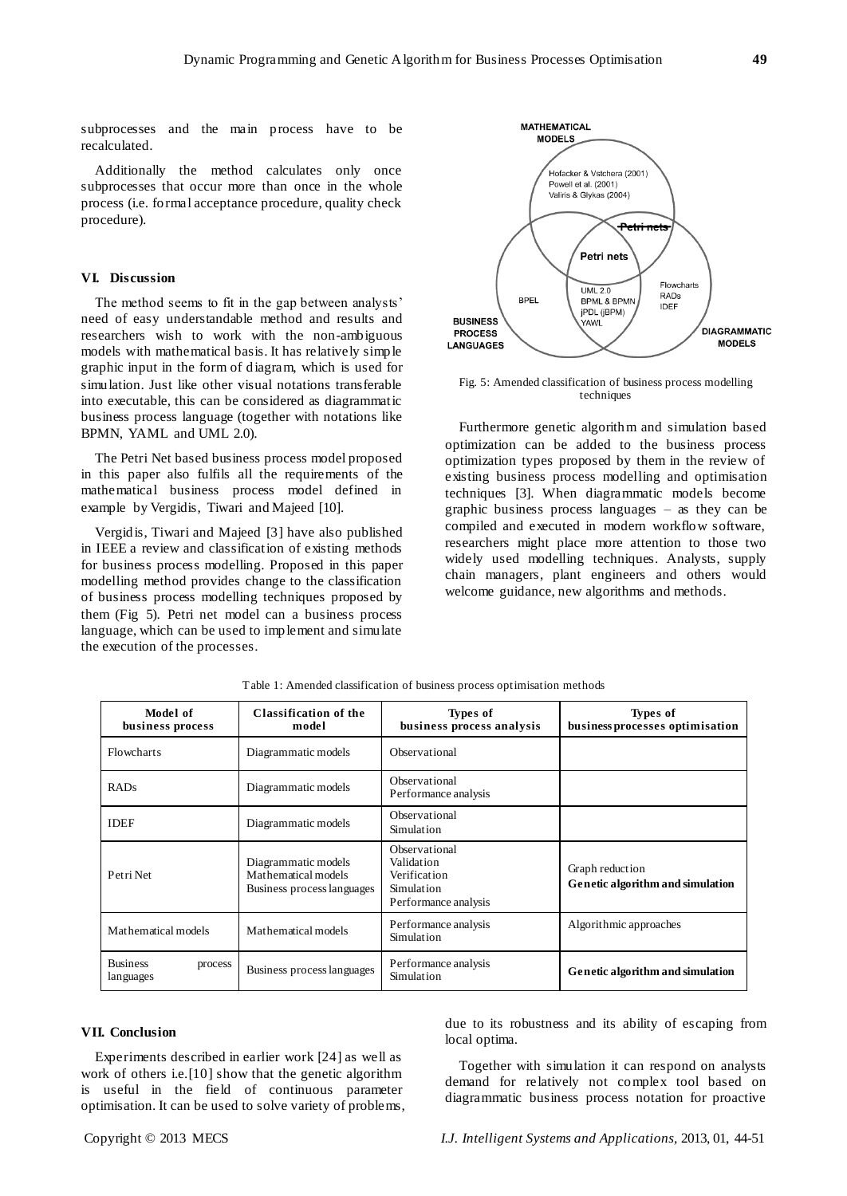subprocesses and the main process have to be recalculated.

Additionally the method calculates only once subprocesses that occur more than once in the whole process (i.e. formal acceptance procedure, quality check procedure).

# **VI. Discussion**

The method seems to fit in the gap between analysts' need of easy understandable method and results and researchers wish to work with the non-ambiguous models with mathematical basis. It has relatively simple graphic input in the form of diagram, which is used for simulation. Just like other visual notations transferable into executable, this can be considered as diagrammatic business process language (together with notations like BPMN, YAML and UML 2.0).

The Petri Net based business process model proposed in this paper also fulfils all the requirements of the mathematical business process model defined in example by Vergidis, Tiwari and Majeed [10].

Vergidis, Tiwari and Majeed [3] have also published in IEEE a review and classification of existing methods for business process modelling. Proposed in this paper modelling method provides change to the classification of business process modelling techniques proposed by them (Fig 5). Petri net model can a business process language, which can be used to implement and simulate the execution of the processes.



Fig. 5: Amended classification of business process modelling techniques

Furthermore genetic algorithm and simulation based optimization can be added to the business process optimization types proposed by them in the review of existing business process modelling and optimisation techniques [3]. When diagrammatic models become graphic business process languages – as they can be compiled and executed in modern workflow software, researchers might place more attention to those two widely used modelling techniques. Analysts, supply chain managers, plant engineers and others would welcome guidance, new algorithms and methods.

| Model of<br>business process            | Classification of the<br>model                                           | Types of<br>business process analysis                                             | Types of<br>business processes optimisation         |
|-----------------------------------------|--------------------------------------------------------------------------|-----------------------------------------------------------------------------------|-----------------------------------------------------|
| Flowcharts                              | Diagrammatic models                                                      | Observational                                                                     |                                                     |
| RADs                                    | Diagrammatic models                                                      | Observational<br>Performance analysis                                             |                                                     |
| <b>IDEF</b>                             | Diagrammatic models                                                      | Observational<br>Simulation                                                       |                                                     |
| Petri Net                               | Diagrammatic models<br>Mathematical models<br>Business process languages | Observational<br>Validation<br>Verification<br>Simulation<br>Performance analysis | Graph reduction<br>Genetic algorithm and simulation |
| Mathematical models                     | Mathematical models                                                      | Performance analysis<br>Simulation                                                | Algorithmic approaches                              |
| <b>Business</b><br>process<br>languages | Business process languages                                               | Performance analysis<br>Simulation                                                | Genetic algorithm and simulation                    |

Table 1: Amended classification of business process optimisation methods

#### **VII. Conclusion**

Experiments described in earlier work [24] as well as work of others i.e.[10] show that the genetic algorithm is useful in the field of continuous parameter optimisation. It can be used to solve variety of problems,

due to its robustness and its ability of escaping from local optima.

Together with simulation it can respond on analysts demand for relatively not complex tool based on diagrammatic business process notation for proactive

Copyright © 2013 MECS *I.J. Intelligent Systems and Applications,* 2013, 01, 44-51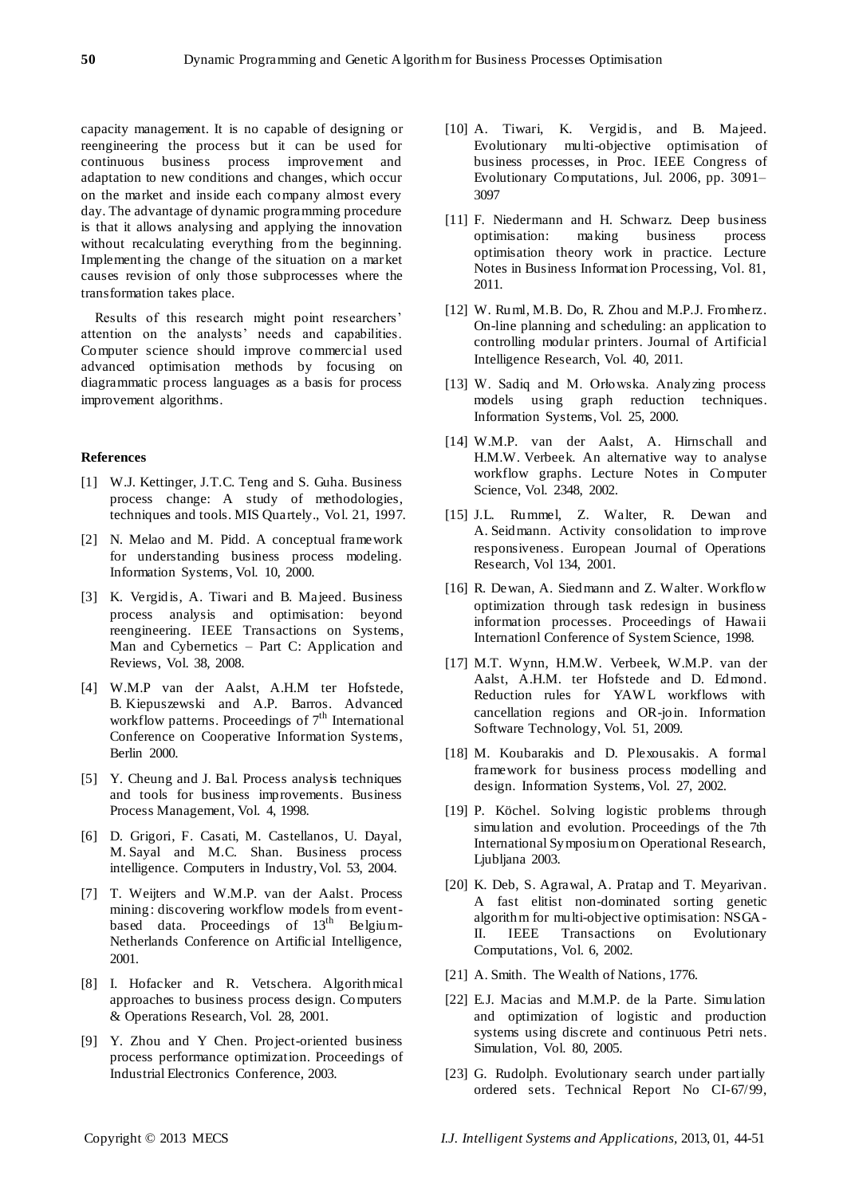capacity management. It is no capable of designing or reengineering the process but it can be used for continuous business process improvement and adaptation to new conditions and changes, which occur on the market and inside each company almost every day. The advantage of dynamic programming procedure is that it allows analysing and applying the innovation without recalculating everything from the beginning. Implementing the change of the situation on a market causes revision of only those subprocesses where the transformation takes place.

Results of this research might point researchers' attention on the analysts' needs and capabilities. Computer science should improve commercial used advanced optimisation methods by focusing on diagrammatic process languages as a basis for process improvement algorithms.

#### **References**

- [1] W.J. Kettinger, J.T.C. Teng and S. Guha. Business process change: A study of methodologies, techniques and tools. MIS Quartely., Vol. 21, 1997.
- [2] N. Melao and M. Pidd. A conceptual framework for understanding business process modeling. Information Systems, Vol. 10, 2000.
- [3] K. Vergidis, A. Tiwari and B. Majeed. Business process analysis and optimisation: beyond reengineering. IEEE Transactions on Systems, Man and Cybernetics – Part C: Application and Reviews, Vol. 38, 2008.
- [4] W.M.P van der Aalst, A.H.M ter Hofstede, B. Kiepuszewski and A.P. Barros. Advanced workflow patterns. Proceedings of  $7<sup>th</sup>$  International Conference on Cooperative Information Systems, Berlin 2000.
- [5] Y. Cheung and J. Bal. Process analysis techniques and tools for business improvements. Business Process Management, Vol. 4, 1998.
- [6] D. Grigori, F. Casati, M. Castellanos, U. Dayal, M. Sayal and M.C. Shan. Business process intelligence. Computers in Industry, Vol. 53, 2004.
- [7] T. Weijters and W.M.P. van der Aalst. Process mining: discovering workflow models from eventbased data. Proceedings of 13<sup>th</sup> Belgium-Netherlands Conference on Artificial Intelligence, 2001.
- [8] I. Hofacker and R. Vetschera. Algorithmical approaches to business process design. Computers & Operations Research, Vol. 28, 2001.
- [9] Y. Zhou and Y Chen. Project-oriented business process performance optimization. Proceedings of Industrial Electronics Conference, 2003.
- [10] A. Tiwari, K. Vergidis, and B. Majeed. Evolutionary multi-objective optimisation of business processes, in Proc. IEEE Congress of Evolutionary Computations, Jul. 2006, pp. 3091– 3097
- [11] F. Niedermann and H. Schwarz. Deep business optimisation: making business process optimisation theory work in practice. Lecture Notes in Business Information Processing, Vol. 81, 2011.
- [12] W. Ruml, M.B. Do, R. Zhou and M.P.J. Fromherz. On-line planning and scheduling: an application to controlling modular printers. Journal of Artificial Intelligence Research, Vol. 40, 2011.
- [13] W. Sadiq and M. Orłowska. Analyzing process models using graph reduction techniques. Information Systems, Vol. 25, 2000.
- [14] W.M.P. van der Aalst, A. Hirnschall and H.M.W. Verbeek. An alternative way to analyse workflow graphs. Lecture Notes in Computer Science, Vol. 2348, 2002.
- [15] J.L. Rummel, Z. Walter, R. Dewan and A. Seidmann. Activity consolidation to improve responsiveness. European Journal of Operations Research, Vol 134, 2001.
- [16] R. Dewan, A. Siedmann and Z. Walter. Workflow optimization through task redesign in business information processes. Proceedings of Hawaii Internationl Conference of System Science, 1998.
- [17] M.T. Wynn, H.M.W. Verbeek, W.M.P. van der Aalst, A.H.M. ter Hofstede and D. Edmond. Reduction rules for YAWL workflows with cancellation regions and OR-join. Information Software Technology, Vol. 51, 2009.
- [18] M. Koubarakis and D. Plexousakis. A formal framework for business process modelling and design. Information Systems, Vol. 27, 2002.
- [19] P. Köchel. Solving logistic problems through simulation and evolution. Proceedings of the 7th International Symposium on Operational Research, Ljubljana 2003.
- [20] K. Deb, S. Agrawal, A. Pratap and T. Meyarivan. A fast elitist non-dominated sorting genetic algorithm for multi-objective optimisation: NSGA-II. IEEE Transactions on Evolutionary Computations, Vol. 6, 2002.
- [21] A. Smith. The Wealth of Nations, 1776.
- [22] E.J. Macias and M.M.P. de la Parte. Simulation and optimization of logistic and production systems using discrete and continuous Petri nets. Simulation, Vol. 80, 2005.
- [23] G. Rudolph. Evolutionary search under partially ordered sets. Technical Report No CI-67/99,